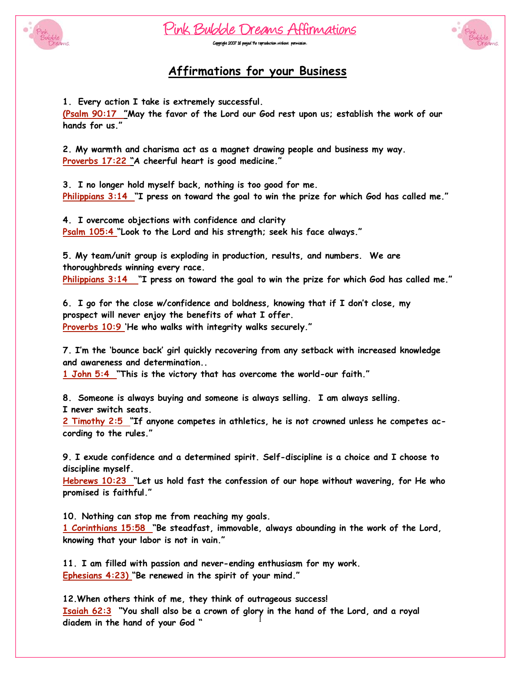





#### **Affirmations for your Business**

1. Every action I take is extremely successful.

(Psalm 90:17 "May the favor of the Lord our God rest upon us; establish the work of our hands for us."

2. My warmth and charisma act as a magnet drawing people and business my way. Proverbs 17:22 "A cheerful heart is good medicine."

3. I no longer hold myself back, nothing is too good for me. Philippians 3:14 "I press on toward the goal to win the prize for which God has called me."

4. I overcome objections with confidence and clarity Psalm 105:4 "Look to the Lord and his strength; seek his face always."

5. My team/unit group is exploding in production, results, and numbers. We are thoroughbreds winning every race. Philippians 3:14 "I press on toward the goal to win the prize for which God has called me."

6. I go for the close w/confidence and boldness, knowing that if I don't close, my prospect will never enjoy the benefits of what I offer. Proverbs 10:9 'He who walks with integrity walks securely."

7. I'm the 'bounce back' girl quickly recovering from any setback with increased knowledge and awareness and determination...

1 John 5:4 "This is the victory that has overcome the world-our faith."

8. Someone is always buying and someone is always selling. I am always selling. I never switch seats.

2 Timothy 2:5 "If anyone competes in athletics, he is not crowned unless he competes according to the rules."

9. I exude confidence and a determined spirit. Self-discipline is a choice and I choose to discipline myself.

Hebrews 10:23 "Let us hold fast the confession of our hope without wavering, for He who promised is faithful."

10. Nothing can stop me from reaching my goals. 1 Corinthians 15:58 "Be steadfast, immovable, always abounding in the work of the Lord, knowing that your labor is not in vain."

11. I am filled with passion and never-ending enthusiasm for my work. Ephesians 4:23) "Be renewed in the spirit of your mind."

12. When others think of me, they think of outrageous success! Isaiah 62:3 "You shall also be a crown of glory in the hand of the Lord, and a royal diadem in the hand of your God"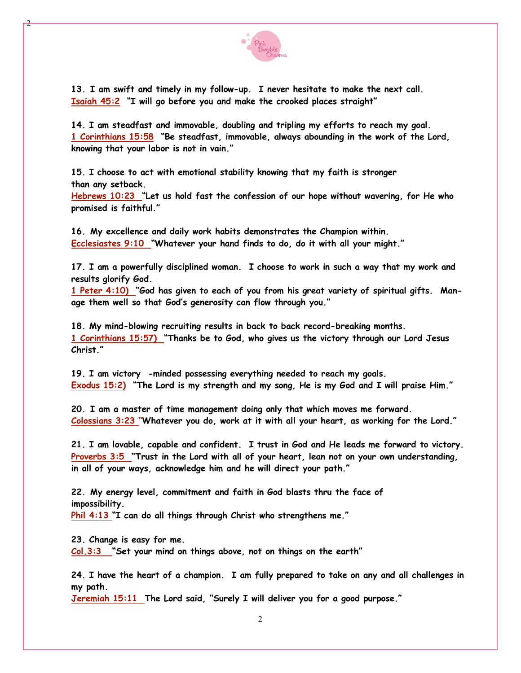

13. I am swift and timely in my follow-up. I never hesitate to make the next call. Isaiah 45:2 "I will go before you and make the crooked places straight"

14. I am steadfast and immovable, doubling and tripling my efforts to reach my goal. 1 Corinthians 15:58 "Be steadfast, immovable, always abounding in the work of the Lord, knowing that your labor is not in vain."

15. I choose to act with emotional stability knowing that my faith is stronger than any setback.

Hebrews 10:23 "Let us hold fast the confession of our hope without wavering, for He who promised is faithful."

16. My excellence and daily work habits demonstrates the Champion within. Ecclesiastes 9:10 "Whatever your hand finds to do, do it with all your might."

17. I am a powerfully disciplined woman. I choose to work in such a way that my work and results glorify God.

1 Peter 4:10) "God has given to each of you from his great variety of spiritual gifts. Manage them well so that God's generosity can flow through you."

18. My mind-blowing recruiting results in back to back record-breaking months. 1 Corinthians 15:57) "Thanks be to God, who gives us the victory through our Lord Jesus Christ."

19. I am victory -minded possessing everything needed to reach my goals. Exodus 15:2) "The Lord is my strength and my song, He is my God and I will praise Him."

20. I am a master of time management doing only that which moves me forward. Colossians 3:23 "Whatever you do, work at it with all your heart, as working for the Lord."

21. I am lovable, capable and confident. I trust in God and He leads me forward to victory. Proverbs 3:5 "Trust in the Lord with all of your heart, lean not on your own understanding, in all of your ways, acknowledge him and he will direct your path."

22. My energy level, commitment and faith in God blasts thru the face of impossibility.

Phil 4:13 "I can do all things through Christ who strengthens me."

23. Change is easy for me.

Col.3:3 "Set your mind on things above, not on things on the earth"

24. I have the heart of a champion. I am fully prepared to take on any and all challenges in my path.

Jeremiah 15:11 The Lord said, "Surely I will deliver you for a good purpose."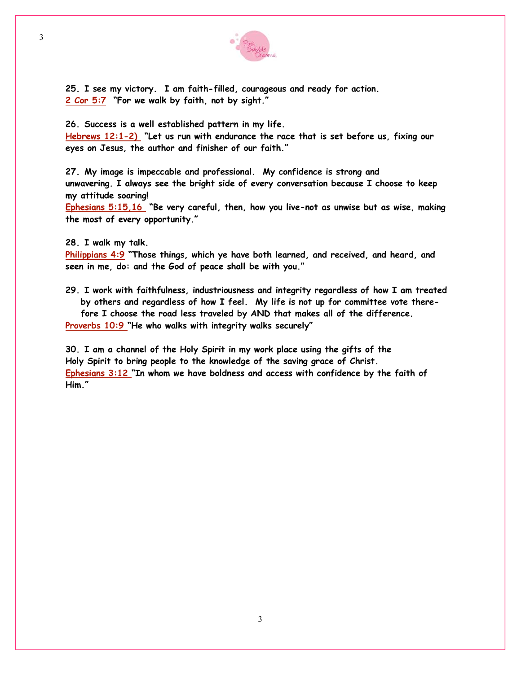

25. I see my victory. I am faith-filled, courageous and ready for action. 2 Cor 5:7 "For we walk by faith, not by sight."

26. Success is a well established pattern in my life.

Hebrews 12:1-2) "Let us run with endurance the race that is set before us, fixing our eyes on Jesus, the author and finisher of our faith."

27. My image is impeccable and professional. My confidence is strong and unwavering. I always see the bright side of every conversation because I choose to keep my attitude soaring!

Ephesians 5:15,16 "Be very careful, then, how you live-not as unwise but as wise, making the most of every opportunity."

28. I walk my talk.

Philippians 4:9 "Those things, which ye have both learned, and received, and heard, and seen in me, do: and the God of peace shall be with you."

29. I work with faithfulness, industriousness and integrity regardless of how I am treated by others and regardless of how I feel. My life is not up for committee vote therefore I choose the road less traveled by AND that makes all of the difference. Proverbs 10:9 "He who walks with integrity walks securely"

30. I am a channel of the Holy Spirit in my work place using the gifts of the Holy Spirit to bring people to the knowledge of the saving grace of Christ. Ephesians 3:12 "In whom we have boldness and access with confidence by the faith of Him."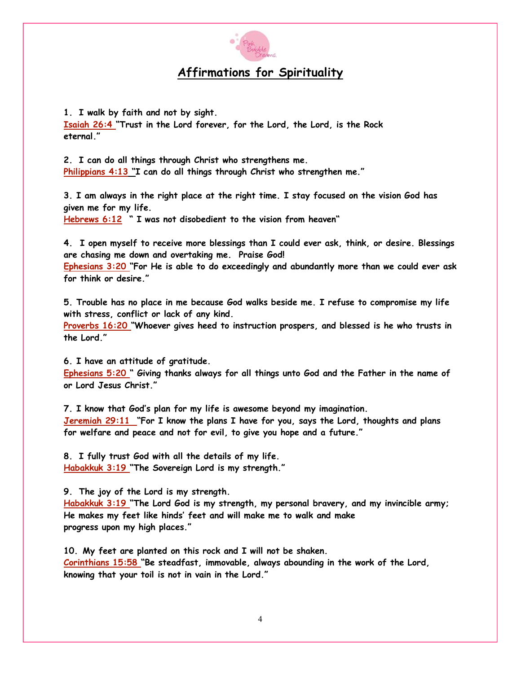

# **Affirmations for Spirituality**

1. I walk by faith and not by sight. Isaiah 26:4 "Trust in the Lord forever, for the Lord, the Lord, is the Rock eternal."

2. I can do all things through Christ who strengthens me. Philippians 4:13 "I can do all things through Christ who strengthen me."

3. I am always in the right place at the right time. I stay focused on the vision God has given me for my life.

Hebrews 6:12 " I was not disobedient to the vision from heaven"

4. I open myself to receive more blessings than I could ever ask, think, or desire. Blessings are chasing me down and overtaking me. Praise God!

Ephesians 3:20 "For He is able to do exceedingly and abundantly more than we could ever ask for think or desire."

5. Trouble has no place in me because God walks beside me. I refuse to compromise my life with stress, conflict or lack of any kind.

Proverbs 16:20 "Whoever gives heed to instruction prospers, and blessed is he who trusts in the Lord"

6. I have an attitude of gratitude.

Ephesians 5:20 " Giving thanks always for all things unto God and the Father in the name of or Lord Jesus Christ."

7. I know that God's plan for my life is awesome beyond my imagination. Jeremiah 29:11 "For I know the plans I have for you, says the Lord, thoughts and plans for welfare and peace and not for evil, to give you hope and a future."

8. I fully trust God with all the details of my life. Habakkuk 3:19 "The Sovereign Lord is my strength."

9. The joy of the Lord is my strength.

Habakkuk 3:19 "The Lord God is my strength, my personal bravery, and my invincible army; He makes my feet like hinds' feet and will make me to walk and make progress upon my high places."

10. My feet are planted on this rock and I will not be shaken. Corinthians 15:58 "Be steadfast, immovable, always abounding in the work of the Lord. knowing that your toil is not in vain in the Lord."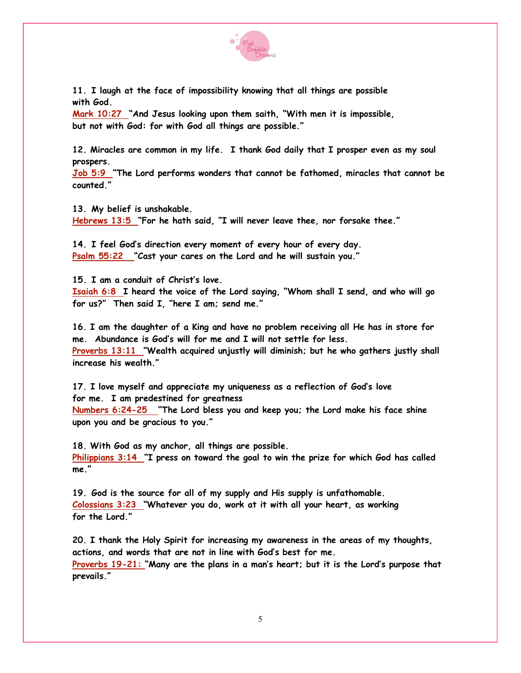

11. I laugh at the face of impossibility knowing that all things are possible with God.

Mark 10:27 "And Jesus looking upon them saith, "With men it is impossible, but not with God: for with God all things are possible."

12. Miracles are common in my life. I thank God daily that I prosper even as my soul prospers.

Job 5:9 "The Lord performs wonders that cannot be fathomed, miracles that cannot be counted "

13. My belief is unshakable. Hebrews 13:5 "For he hath said, "I will never leave thee, nor forsake thee."

14. I feel God's direction every moment of every hour of every day. Psalm 55:22 "Cast your cares on the Lord and he will sustain you."

15. I am a conduit of Christ's love.

Isaiah 6:8 I heard the voice of the Lord saying, "Whom shall I send, and who will go for us?" Then said I, "here I am; send me."

16. I am the daughter of a King and have no problem receiving all He has in store for me. Abundance is God's will for me and I will not settle for less.

Proverbs 13:11 "Wealth acquired unjustly will diminish; but he who gathers justly shall increase his wealth."

17. I love myself and appreciate my uniqueness as a reflection of God's love for me. I am predestined for greatness Numbers 6:24-25 "The Lord bless you and keep you; the Lord make his face shine upon you and be gracious to you."

18. With God as my anchor, all things are possible. Philippians 3:14 "I press on toward the goal to win the prize for which God has called me"

19. God is the source for all of my supply and His supply is unfathomable. Colossians 3:23 "Whatever you do, work at it with all your heart, as working for the Lord"

20. I thank the Holy Spirit for increasing my awareness in the areas of my thoughts, actions, and words that are not in line with God's best for me. Proverbs 19-21: "Many are the plans in a man's heart; but it is the Lord's purpose that prevails."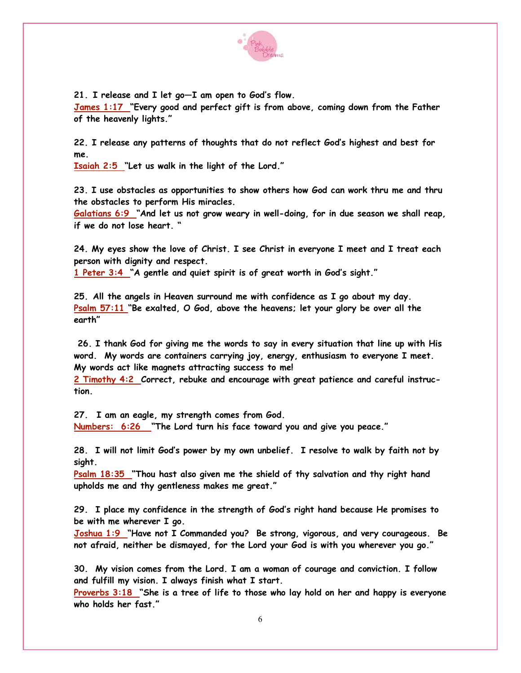

21. I release and I let go-I am open to God's flow.

James 1:17 "Every good and perfect gift is from above, coming down from the Father of the heavenly lights."

22. I release any patterns of thoughts that do not reflect God's highest and best for me.

Isaiah 2:5 "Let us walk in the light of the Lord."

23. I use obstacles as opportunities to show others how God can work thru me and thru the obstacles to perform His miracles.

 $Galatians 6:9$  "And let us not grow weary in well-doing, for in due season we shall reap, if we do not lose heart. "

24. My eyes show the love of Christ. I see Christ in everyone I meet and I treat each person with dignity and respect.

1 Peter 3:4 "A gentle and quiet spirit is of great worth in God's sight."

25. All the angels in Heaven surround me with confidence as I go about my day. Psalm 57:11 "Be exalted, O God, above the heavens; let your glory be over all the earth"

26. I thank God for giving me the words to say in every situation that line up with His word. My words are containers carrying joy, energy, enthusiasm to everyone I meet. My words act like magnets attracting success to me!

2 Timothy 4:2 Correct, rebuke and encourage with great patience and careful instruction.

27. I am an eagle, my strength comes from God. Numbers: 6:26 "The Lord turn his face toward you and give you peace."

28. I will not limit God's power by my own unbelief. I resolve to walk by faith not by sight.

Psalm  $18:35$  "Thou hast also given me the shield of thy salvation and thy right hand upholds me and thy gentleness makes me great."

29. I place my confidence in the strength of God's right hand because He promises to be with me wherever I go.

Joshua 1:9 "Have not I Commanded you? Be strong, vigorous, and very courageous. Be not afraid, neither be dismayed, for the Lord your God is with you wherever you go."

30. My vision comes from the Lord. I am a woman of courage and conviction. I follow and fulfill my vision. I always finish what I start.

Proverbs 3:18 "She is a tree of life to those who lay hold on her and happy is everyone who holds her fast."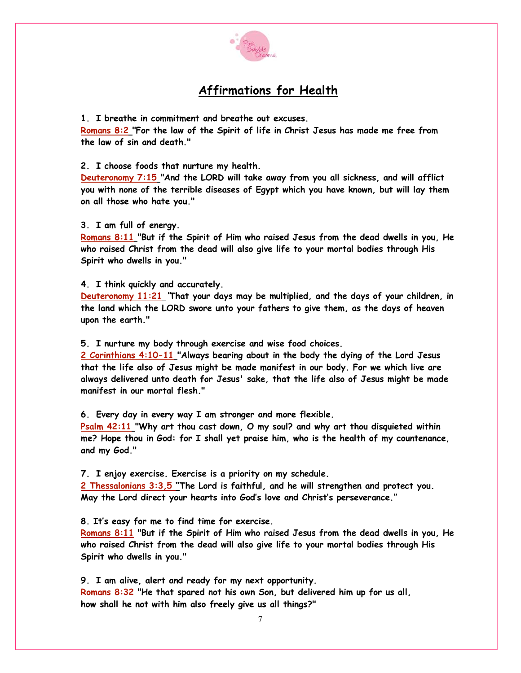

## **Affirmations for Health**

1. I breathe in commitment and breathe out excuses.

Romans 8:2 "For the law of the Spirit of life in Christ Jesus has made me free from the law of sin and death."

2. I choose foods that nurture my health.

Deuteronomy 7:15 "And the LORD will take away from you all sickness, and will afflict you with none of the terrible diseases of Egypt which you have known, but will lay them on all those who hate you."

3. I am full of energy.

Romans 8:11 "But if the Spirit of Him who raised Jesus from the dead dwells in you, He who raised Christ from the dead will also give life to your mortal bodies through His Spirit who dwells in you."

4. I think quickly and accurately.

Deuteronomy 11:21 "That your days may be multiplied, and the days of your children, in the land which the LORD swore unto your fathers to give them, as the days of heaven upon the earth."

5. I nurture my body through exercise and wise food choices.

2 Corinthians 4:10-11 "Always bearing about in the body the dying of the Lord Jesus that the life also of Jesus might be made manifest in our body. For we which live are always delivered unto death for Jesus' sake, that the life also of Jesus might be made manifest in our mortal flesh."

6. Every day in every way I am stronger and more flexible.

Psalm 42:11 "Why art thou cast down, O my soul? and why art thou disquieted within me? Hope thou in God: for I shall yet praise him, who is the health of my countenance, and my God."

7. I enjoy exercise. Exercise is a priority on my schedule.

2 Thessalonians 3:3,5 "The Lord is faithful, and he will strengthen and protect you. May the Lord direct your hearts into God's love and Christ's perseverance."

8. It's easy for me to find time for exercise.

Romans 8:11 "But if the Spirit of Him who raised Jesus from the dead dwells in you, He who raised Christ from the dead will also give life to your mortal bodies through His Spirit who dwells in you."

9. I am alive, alert and ready for my next opportunity.

Romans 8:32 "He that spared not his own Son, but delivered him up for us all, how shall he not with him also freely give us all things?"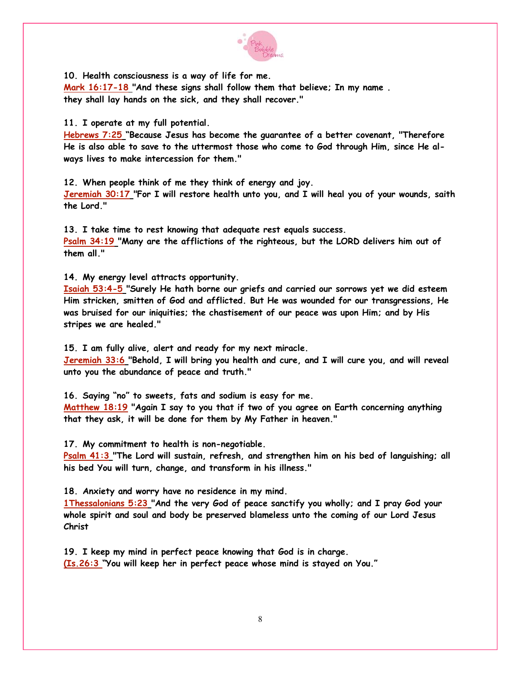

10. Health consciousness is a way of life for me.

Mark 16:17-18 "And these signs shall follow them that believe; In my name. they shall lay hands on the sick, and they shall recover."

11. I operate at my full potential.

Hebrews 7:25 "Because Jesus has become the guarantee of a better covenant, "Therefore He is also able to save to the uttermost those who come to God through Him, since He always lives to make intercession for them."

12. When people think of me they think of energy and joy. Jeremiah 30:17 "For I will restore health unto you, and I will heal you of your wounds, saith the Lord."

13. I take time to rest knowing that adequate rest equals success.  $P_{\text{Salm}}$  34:19 "Many are the afflictions of the righteous, but the LORD delivers him out of them all."

14. My energy level attracts opportunity.

Isaiah 53:4-5 "Surely He hath borne our griefs and carried our sorrows yet we did esteem Him stricken, smitten of God and afflicted. But He was wounded for our transgressions. He was bruised for our iniquities; the chastisement of our peace was upon Him; and by His stripes we are healed."

15. I am fully alive, alert and ready for my next miracle.

Jeremiah 33:6 "Behold, I will bring you health and cure, and I will cure you, and will reveal unto you the abundance of peace and truth."

16. Saying "no" to sweets, fats and sodium is easy for me. Matthew 18:19 "Again I say to you that if two of you agree on Earth concerning anything that they ask, it will be done for them by My Father in heaven."

17. My commitment to health is non-negotiable.

Psalm 41:3 "The Lord will sustain, refresh, and strengthen him on his bed of languishing; all his bed You will turn, change, and transform in his illness."

18. Anxiety and worry have no residence in my mind.

1Thessalonians 5:23 "And the very God of peace sanctify you wholly; and I pray God your whole spirit and soul and body be preserved blameless unto the coming of our Lord Jesus Christ

19. I keep my mind in perfect peace knowing that God is in charge. (Is.26:3 "You will keep her in perfect peace whose mind is stayed on You."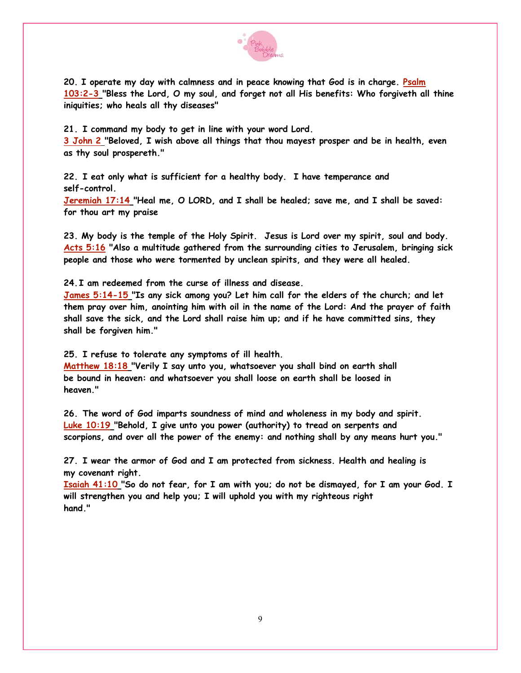

20. I operate my day with calmness and in peace knowing that God is in charge. Psalm 103:2-3 "Bless the Lord, O my soul, and forget not all His benefits: Who forgiveth all thine iniquities; who heals all thy diseases"

21. I command my body to get in line with your word Lord.

3 John 2 "Beloved, I wish above all things that thou mayest prosper and be in health, even as thy soul prospereth."

22. I eat only what is sufficient for a healthy body. I have temperance and self-control.

Jeremiah 17:14 "Heal me, O LORD, and I shall be healed; save me, and I shall be saved: for thou art my praise

23. My body is the temple of the Holy Spirit. Jesus is Lord over my spirit, soul and body. Acts 5:16 "Also a multitude gathered from the surrounding cities to Jerusalem, bringing sick people and those who were tormented by unclean spirits, and they were all healed.

24. I am redeemed from the curse of illness and disease.

James 5:14-15 "Is any sick among you? Let him call for the elders of the church; and let them pray over him, anointing him with oil in the name of the Lord: And the prayer of faith shall save the sick, and the Lord shall raise him up; and if he have committed sins, they shall be forgiven him."

25. I refuse to tolerate any symptoms of ill health.

Matthew 18:18 "Verily I say unto you, whatsoever you shall bind on earth shall be bound in heaven: and whatsoever you shall loose on earth shall be loosed in heaven."

26. The word of God imparts soundness of mind and wholeness in my body and spirit. Luke 10:19 "Behold, I give unto you power (authority) to tread on serpents and scorpions, and over all the power of the enemy: and nothing shall by any means hurt you."

27. I wear the armor of God and I am protected from sickness. Health and healing is my covenant right.

Isaiah 41:10 "So do not fear, for I am with you; do not be dismayed, for I am your God. I will strenathen you and help you; I will uphold you with my righteous right hand "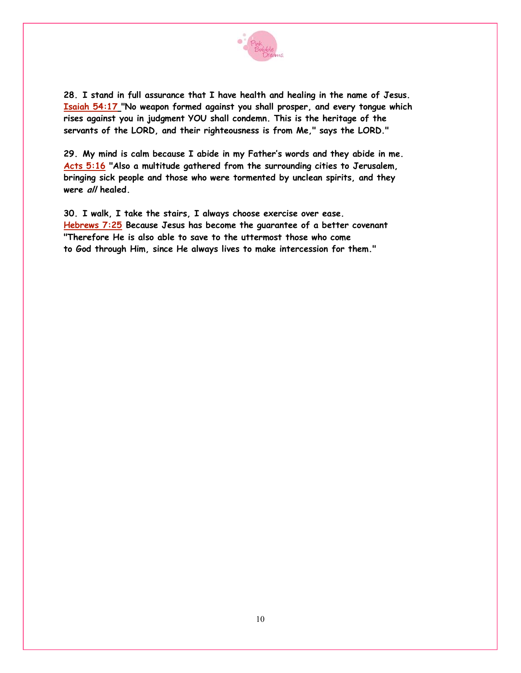

28. I stand in full assurance that I have health and healing in the name of Jesus. Isaiah 54:17 "No weapon formed against you shall prosper, and every tongue which rises against you in judgment YOU shall condemn. This is the heritage of the servants of the LORD, and their righteousness is from Me," says the LORD."

29. My mind is calm because I abide in my Father's words and they abide in me. Acts 5:16 "Also a multitude gathered from the surrounding cities to Jerusalem, bringing sick people and those who were tormented by unclean spirits, and they were all healed.

30. I walk, I take the stairs, I always choose exercise over ease. Hebrews 7:25 Because Jesus has become the guarantee of a better covenant "Therefore He is also able to save to the uttermost those who come to God through Him, since He always lives to make intercession for them."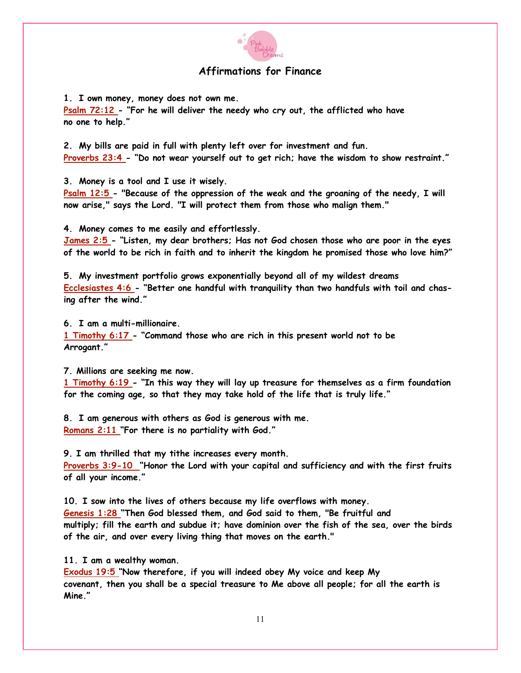

#### **Affirmations for Finance**

1. I own money, money does not own me.

 $P_{\text{Salm}}$  72:12 - "For he will deliver the needy who cry out, the afflicted who have no one to help."

2. My bills are paid in full with plenty left over for investment and fun. Proverbs 23:4 - "Do not wear yourself out to get rich; have the wisdom to show restraint."

3. Money is a tool and I use it wisely.

Psalm 12:5 - "Because of the oppression of the weak and the groaning of the needy, I will now arise," says the Lord. "I will protect them from those who malign them."

4. Money comes to me easily and effortlessly.

James 2:5 - "Listen, my dear brothers; Has not God chosen those who are poor in the eyes of the world to be rich in faith and to inherit the kingdom he promised those who love him?"

5. My investment portfolio grows exponentially beyond all of my wildest dreams Ecclesiastes 4:6 - "Better one handful with tranguility than two handfuls with toil and chasing after the wind."

6. I am a multi-millionaire.

1 Timothy 6:17 - "Command those who are rich in this present world not to be Arrogant."

7. Millions are seeking me now.

1 Timothy 6:19 - "In this way they will lay up treasure for themselves as a firm foundation for the coming age, so that they may take hold of the life that is truly life."

8. I am generous with others as God is generous with me. Romans 2:11 "For there is no partiality with God."

9. I am thrilled that my tithe increases every month. Proverbs 3:9-10 "Honor the Lord with your capital and sufficiency and with the first fruits of all your income."

10. I sow into the lives of others because my life overflows with money. Genesis 1:28 "Then God blessed them, and God said to them, "Be fruitful and multiply; fill the earth and subdue it; have dominion over the fish of the sea, over the birds of the air, and over every living thing that moves on the earth."

11. I am a wealthy woman.

Exodus 19:5 "Now therefore, if you will indeed obey My voice and keep My covenant, then you shall be a special treasure to Me above all people; for all the earth is Mine."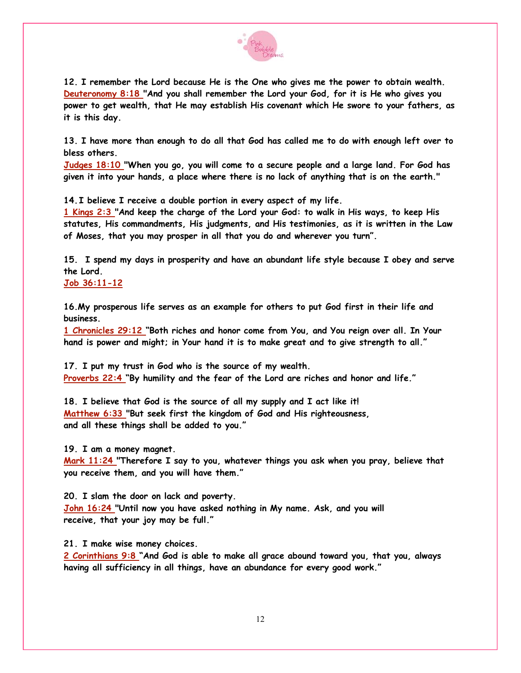

12. I remember the Lord because He is the One who gives me the power to obtain wealth. Deuteronomy 8:18 "And you shall remember the Lord your God, for it is He who gives you power to get wealth, that He may establish His covenant which He swore to your fathers, as it is this day.

13. I have more than enough to do all that God has called me to do with enough left over to bless others.

Judges 18:10 "When you go, you will come to a secure people and a large land. For God has given it into your hands, a place where there is no lack of anything that is on the earth."

14. I believe I receive a double portion in every aspect of my life.

1 Kings 2:3 "And keep the charge of the Lord your God: to walk in His ways, to keep His statutes, His commandments, His judgments, and His testimonies, as it is written in the Law of Moses, that you may prosper in all that you do and wherever you turn".

15. I spend my days in prosperity and have an abundant life style because I obey and serve the Lord.

 $Job 36:11-12$ 

16. My prosperous life serves as an example for others to put God first in their life and business.

1 Chronicles 29:12 "Both riches and honor come from You, and You reign over all. In Your hand is power and might; in Your hand it is to make great and to give strength to all."

17. I put my trust in God who is the source of my wealth. Proverbs 22:4 "By humility and the fear of the Lord are riches and honor and life."

18. I believe that God is the source of all my supply and I act like it! Matthew 6:33 "But seek first the kingdom of God and His righteousness, and all these things shall be added to you."

19. I am a money magnet.

Mark  $11:24$  "Therefore I say to you, whatever things you ask when you pray, believe that you receive them, and you will have them."

20. I slam the door on lack and poverty. John 16:24 "Until now you have asked nothing in My name. Ask, and you will receive, that your joy may be full."

21. I make wise money choices.

2 Corinthians 9:8 "And God is able to make all grace abound toward you, that you, always having all sufficiency in all things, have an abundance for every good work."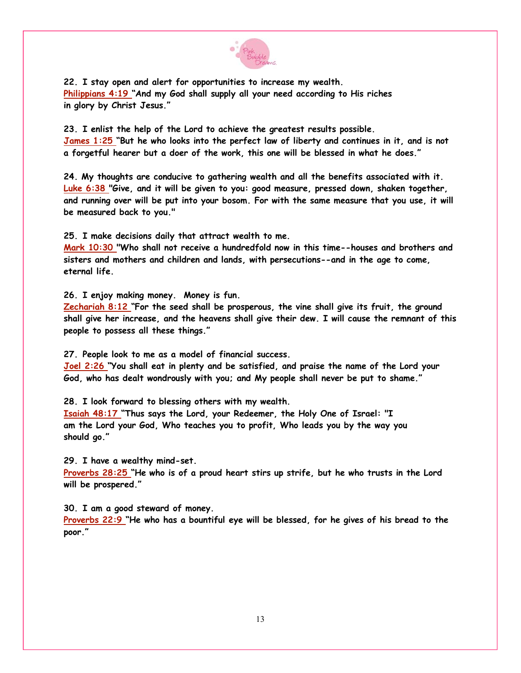

22. I stay open and alert for opportunities to increase my wealth. Philippians 4:19 "And my God shall supply all your need according to His riches in glory by Christ Jesus."

23. I enlist the help of the Lord to achieve the greatest results possible. James 1:25 "But he who looks into the perfect law of liberty and continues in it, and is not a forgetful hearer but a doer of the work, this one will be blessed in what he does."

24. My thoughts are conducive to gathering wealth and all the benefits associated with it. Luke 6:38 "Give, and it will be given to you: good measure, pressed down, shaken together, and running over will be put into your bosom. For with the same measure that you use, it will be measured back to you."

25. I make decisions daily that attract wealth to me.

Mark 10:30 "Who shall not receive a hundredfold now in this time--houses and brothers and sisters and mothers and children and lands, with persecutions--and in the age to come, eternal life.

26. I enjoy making money. Money is fun.

Zechariah 8:12 "For the seed shall be prosperous, the vine shall give its fruit, the ground shall give her increase, and the heavens shall give their dew. I will cause the remnant of this people to possess all these things."

27. People look to me as a model of financial success.

Joel 2:26 "You shall eat in plenty and be satisfied, and praise the name of the Lord your God, who has dealt wondrously with you; and My people shall never be put to shame."

28. I look forward to blessing others with my wealth.

Isaiah 48:17 "Thus says the Lord, your Redeemer, the Holy One of Israel: "I am the Lord your God, Who teaches you to profit, Who leads you by the way you should go."

29. I have a wealthy mind-set.

Proverbs 28:25 "He who is of a proud heart stirs up strife, but he who trusts in the Lord will be prospered."

30. I am a good steward of money.

Proverbs 22:9 "He who has a bountiful eye will be blessed, for he gives of his bread to the poor."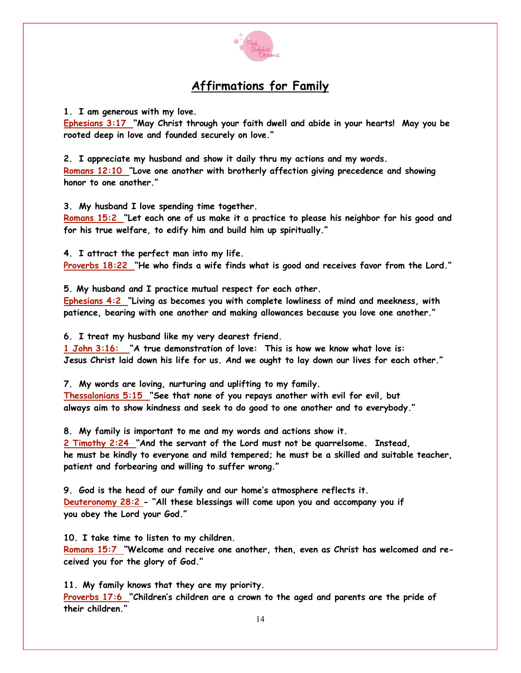

## **Affirmations for Family**

1. I am generous with my love.

Ephesians 3:17 "May Christ through your faith dwell and abide in your hearts! May you be rooted deep in love and founded securely on love."

2. I appreciate my husband and show it daily thru my actions and my words. Romans 12:10 "Love one another with brotherly affection giving precedence and showing honor to one another"

3. My husband I love spending time together.

Romans 15:2 "Let each one of us make it a practice to please his neighbor for his good and for his true welfare, to edify him and build him up spiritually."

4. I attract the perfect man into my life. Proverbs 18:22 "He who finds a wife finds what is good and receives favor from the Lord."

5. My husband and I practice mutual respect for each other.

Ephesians 4:2 "Living as becomes you with complete lowliness of mind and meekness, with patience, bearing with one another and making allowances because you love one another."

6. I treat my husband like my very dearest friend.

1 John 3:16: "A true demonstration of love: This is how we know what love is: Jesus Christ laid down his life for us. And we ought to lay down our lives for each other."

7. My words are loving, nurturing and uplifting to my family. Thessalonians 5:15 "See that none of you repays another with evil for evil, but always aim to show kindness and seek to do good to one another and to everybody."

8. My family is important to me and my words and actions show it. 2 Timothy 2:24 "And the servant of the Lord must not be quarrelsome. Instead, he must be kindly to everyone and mild tempered; he must be a skilled and suitable teacher. patient and forbearing and willing to suffer wrong."

9. God is the head of our family and our home's atmosphere reflects it. Deuteronomy 28:2 - "All these blessings will come upon you and accompany you if you obey the Lord your God."

10. I take time to listen to my children.

Romans 15:7 "Welcome and receive one another, then, even as Christ has welcomed and received you for the glory of God."

11. My family knows that they are my priority. Proverbs 17:6 "Children's children are a crown to the aged and parents are the pride of their children."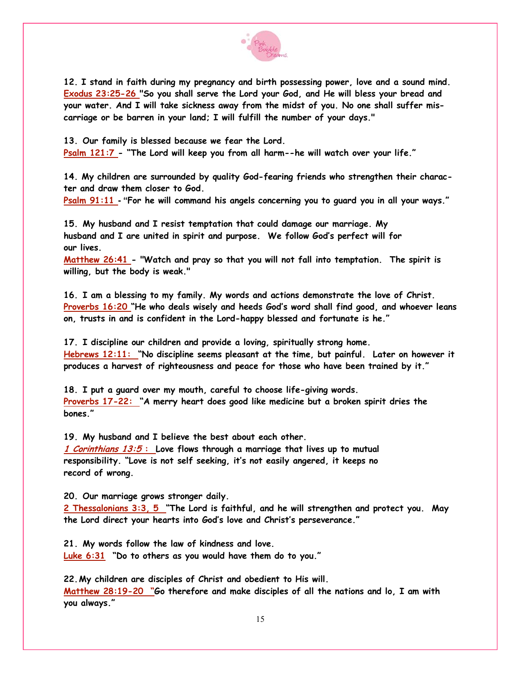

12. I stand in faith during my pregnancy and birth possessing power, love and a sound mind. Exodus 23:25-26 "So you shall serve the Lord your God, and He will bless your bread and your water. And I will take sickness away from the midst of you. No one shall suffer miscarriage or be barren in your land; I will fulfill the number of your days."

13. Our family is blessed because we fear the Lord. Psalm 121:7 - "The Lord will keep you from all harm--he will watch over your life."

14. My children are surrounded by quality God-fearing friends who strengthen their character and draw them closer to God.

Psalm 91:11 - "For he will command his angels concerning you to guard you in all your ways."

15. My husband and I resist temptation that could damage our marriage. My husband and I are united in spirit and purpose. We follow God's perfect will for our lives.

Matthew 26:41 - "Watch and pray so that you will not fall into temptation. The spirit is willing, but the body is weak."

16. I am a blessing to my family. My words and actions demonstrate the love of Christ. Proverbs 16:20 "He who deals wisely and heeds God's word shall find good, and whoever leans on, trusts in and is confident in the Lord-happy blessed and fortunate is he."

17. I discipline our children and provide a loving, spiritually strong home. Hebrews 12:11: "No discipline seems pleasant at the time, but painful. Later on however it produces a harvest of righteousness and peace for those who have been trained by it."

18. I put a guard over my mouth, careful to choose life-giving words. Proverbs 17-22: "A merry heart does good like medicine but a broken spirit dries the bones "

19. My husband and I believe the best about each other. 1 Corinthians  $13:5$ : Love flows through a marriage that lives up to mutual responsibility. "Love is not self seeking, it's not easily angered, it keeps no record of wrong.

20. Our marriage grows stronger daily.

2 Thessalonians 3:3, 5 "The Lord is faithful, and he will strengthen and protect you. May the Lord direct your hearts into God's love and Christ's perseverance."

21. My words follow the law of kindness and love. Luke 6:31 "Do to others as you would have them do to you."

22. My children are disciples of Christ and obedient to His will. Matthew 28:19-20 "Go therefore and make disciples of all the nations and lo, I am with you always."